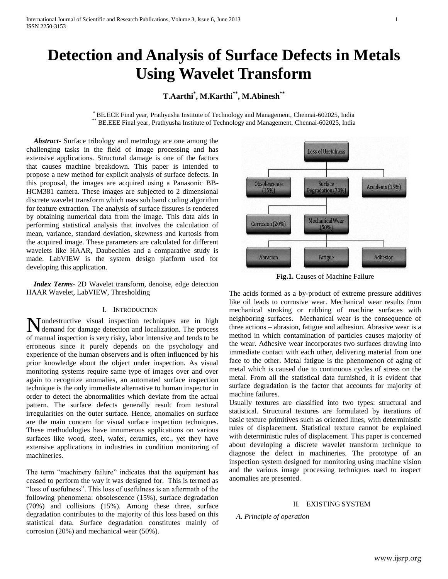# **Detection and Analysis of Surface Defects in Metals Using Wavelet Transform**

# **T.Aarthi\* , M.Karthi\*\* , M.Abinesh\*\***

\* BE.ECE Final year, Prathyusha Institute of Technology and Management, Chennai-602025, India <sup>\*</sup> BE.EEE Final year, Prathyusha Institute of Technology and Management, Chennai-602025, India

 *Abstract***-** Surface tribology and metrology are one among the challenging tasks in the field of image processing and has extensive applications. Structural damage is one of the factors that causes machine breakdown. This paper is intended to propose a new method for explicit analysis of surface defects. In this proposal, the images are acquired using a Panasonic BB-HCM381 camera. These images are subjected to 2 dimensional discrete wavelet transform which uses sub band coding algorithm for feature extraction. The analysis of surface fissures is rendered by obtaining numerical data from the image. This data aids in performing statistical analysis that involves the calculation of mean, variance, standard deviation, skewness and kurtosis from the acquired image. These parameters are calculated for different wavelets like HAAR, Daubechies and a comparative study is made. LabVIEW is the system design platform used for developing this application.

 *Index Terms*- 2D Wavelet transform, denoise, edge detection HAAR Wavelet, LabVIEW, Thresholding

# I. INTRODUCTION

Mondestructive visual inspection techniques are in high demand for damage detection and localization. The process demand for damage detection and localization. The process of manual inspection is very risky, labor intensive and tends to be erroneous since it purely depends on the psychology and experience of the human observers and is often influenced by his prior knowledge about the object under inspection. As visual monitoring systems require same type of images over and over again to recognize anomalies, an automated surface inspection technique is the only immediate alternative to human inspector in order to detect the abnormalities which deviate from the actual pattern. The surface defects generally result from textural irregularities on the outer surface. Hence, anomalies on surface are the main concern for visual surface inspection techniques. These methodologies have innumerous applications on various surfaces like wood, steel, wafer, ceramics, etc., yet they have extensive applications in industries in condition monitoring of machineries.

The term "machinery failure" indicates that the equipment has ceased to perform the way it was designed for. This is termed as "loss of usefulness". This loss of usefulness is an aftermath of the following phenomena: obsolescence (15%), surface degradation (70%) and collisions (15%). Among these three, surface degradation contributes to the majority of this loss based on this statistical data. Surface degradation constitutes mainly of corrosion (20%) and mechanical wear (50%).



**Fig.1.** Causes of Machine Failure

The acids formed as a by-product of extreme pressure additives like oil leads to corrosive wear. Mechanical wear results from mechanical stroking or rubbing of machine surfaces with neighboring surfaces. Mechanical wear is the consequence of three actions – abrasion, fatigue and adhesion. Abrasive wear is a method in which contamination of particles causes majority of the wear. Adhesive wear incorporates two surfaces drawing into immediate contact with each other, delivering material from one face to the other. Metal fatigue is the phenomenon of aging of metal which is caused due to continuous cycles of stress on the metal. From all the statistical data furnished, it is evident that surface degradation is the factor that accounts for majority of machine failures.

Usually textures are classified into two types: structural and statistical. Structural textures are formulated by iterations of basic texture primitives such as oriented lines, with deterministic rules of displacement. Statistical texture cannot be explained with deterministic rules of displacement. This paper is concerned about developing a discrete wavelet transform technique to diagnose the defect in machineries. The prototype of an inspection system designed for monitoring using machine vision and the various image processing techniques used to inspect anomalies are presented.

# II. EXISTING SYSTEM

#### *A. Principle of operation*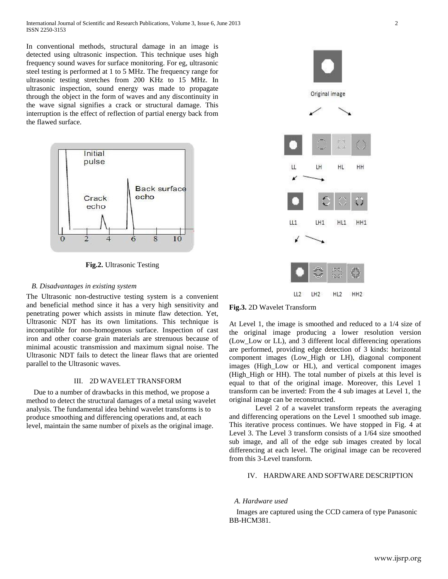In conventional methods, structural damage in an image is detected using ultrasonic inspection. This technique uses high frequency sound waves for surface monitoring. For eg, ultrasonic steel testing is performed at 1 to 5 MHz. The frequency range for ultrasonic testing stretches from 200 KHz to 15 MHz. In ultrasonic inspection, sound energy was made to propagate through the object in the form of waves and any discontinuity in the wave signal signifies a crack or structural damage. This interruption is the effect of reflection of partial energy back from the flawed surface.



**Fig.2.** Ultrasonic Testing

## *B. Disadvantages in existing system*

The Ultrasonic non-destructive testing system is a convenient and beneficial method since it has a very high sensitivity and penetrating power which assists in minute flaw detection. Yet, Ultrasonic NDT has its own limitations. This technique is incompatible for non-homogenous surface. Inspection of cast iron and other coarse grain materials are strenuous because of minimal acoustic transmission and maximum signal noise. The Ultrasonic NDT fails to detect the linear flaws that are oriented parallel to the Ultrasonic waves.

#### III. 2D WAVELET TRANSFORM

 Due to a number of drawbacks in this method, we propose a method to detect the structural damages of a metal using wavelet analysis. The fundamental idea behind wavelet transforms is to produce smoothing and differencing operations and, at each level, maintain the same number of pixels as the original image.





At Level 1, the image is smoothed and reduced to a 1/4 size of the original image producing a lower resolution version (Low\_Low or LL), and 3 different local differencing operations are performed, providing edge detection of 3 kinds: horizontal component images (Low\_High or LH), diagonal component images (High\_Low or HL), and vertical component images (High\_High or HH). The total number of pixels at this level is equal to that of the original image. Moreover, this Level 1 transform can be inverted: From the 4 sub images at Level 1, the original image can be reconstructed.

Level 2 of a wavelet transform repeats the averaging and differencing operations on the Level 1 smoothed sub image. This iterative process continues. We have stopped in Fig. 4 at Level 3. The Level 3 transform consists of a 1/64 size smoothed sub image, and all of the edge sub images created by local differencing at each level. The original image can be recovered from this 3-Level transform.

# IV. HARDWARE AND SOFTWARE DESCRIPTION

#### *A. Hardware used*

 Images are captured using the CCD camera of type Panasonic BB-HCM381.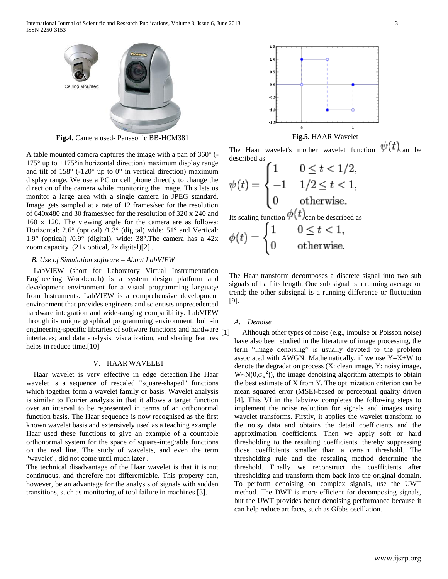

**Fig.4.** Camera used- Panasonic BB-HCM381

A table mounted camera captures the image with a pan of 360° (-  $175^{\circ}$  up to  $+175^{\circ}$  in horizontal direction) maximum display range and tilt of  $158^{\circ}$  (-120° up to 0° in vertical direction) maximum display range. We use a PC or cell phone directly to change the direction of the camera while monitoring the image. This lets us monitor a large area with a single camera in JPEG standard. Image gets sampled at a rate of 12 frames/sec for the resolution of 640x480 and 30 frames/sec for the resolution of 320 x 240 and 160 x 120. The viewing angle for the camera are as follows: Horizontal: 2.6° (optical) /1.3° (digital) wide: 51° and Vertical: 1.9° (optical) /0.9° (digital), wide: 38°. The camera has a  $42x$ zoom capacity (21x optical, 2x digital)[2] .

#### *B. Use of Simulation software – About LabVIEW*

 LabVIEW (short for Laboratory Virtual Instrumentation Engineering Workbench) is a system design platform and development environment for a visual programming language from Instruments. LabVIEW is a comprehensive development environment that provides engineers and scientists unprecedented hardware integration and wide-ranging compatibility. LabVIEW through its unique graphical programming environment; built-in engineering-specific libraries of software functions and hardware [1] interfaces; and data analysis, visualization, and sharing features helps in reduce time.<sup>[10]</sup>

#### V. HAAR WAVELET

 Haar wavelet is very effective in edge detection.The Haar wavelet is a sequence of rescaled "square-shaped" functions which together form a wavelet family or basis. Wavelet analysis is similar to Fourier analysis in that it allows a target function over an interval to be represented in terms of an orthonormal function basis. The Haar sequence is now recognised as the first known wavelet basis and extensively used as a teaching example. Haar used these functions to give an example of a countable orthonormal system for the space of square-integrable functions on the real line. The study of wavelets, and even the term "wavelet", did not come until much later .

The technical disadvantage of the Haar wavelet is that it is not continuous, and therefore not differentiable. This property can, however, be an advantage for the analysis of signals with sudden transitions, such as monitoring of tool failure in machines [3].





The Haar wavelet's mother wavelet function  $\psi(t)_{\text{can}}$  be described as

$$
\psi(t) = \begin{cases}\n1 & 0 \le t < 1/2, \\
-1 & 1/2 \le t < 1, \\
0 & \text{otherwise.} \n\end{cases}
$$
\nIts scaling function  $\phi(t)_{\text{can be described as}}$ \n
$$
\phi(t) = \begin{cases}\n1 & 0 \le t < 1, \\
0 & \text{otherwise.}\n\end{cases}
$$

$$
\begin{cases} 0 \qquad \text{otherwise} \end{cases}
$$

The Haar transform decomposes a discrete signal into two sub signals of half its length. One sub signal is a running average or trend; the other subsignal is a running difference or fluctuation [9].

#### *A. Denoise*

Although other types of noise (e.g., impulse or Poisson noise) have also been studied in the literature of image processing, the term "image denoising" is usually devoted to the problem associated with AWGN. Mathematically, if we use  $Y=X+W$  to denote the degradation process (X: clean image, Y: noisy image,  $W \sim N(0, \sigma_w^2)$ , the image denoising algorithm attempts to obtain the best estimate of X from Y. The optimization criterion can be mean squared error (MSE)-based or perceptual quality driven [4]. This VI in the labview completes the following steps to implement the noise reduction for signals and images using wavelet transforms. Firstly, it applies the wavelet transform to the noisy data and obtains the detail coefficients and the approximation coefficients. Then we apply soft or hard thresholding to the resulting coefficients, thereby suppressing those coefficients smaller than a certain threshold. The thresholding rule and the rescaling method determine the threshold. Finally we reconstruct the coefficients after thresholding and transform them back into the original domain. To perform denoising on complex signals, use the UWT method. The DWT is more efficient for decomposing signals, but the UWT provides better denoising performance because it can help reduce artifacts, such as Gibbs oscillation.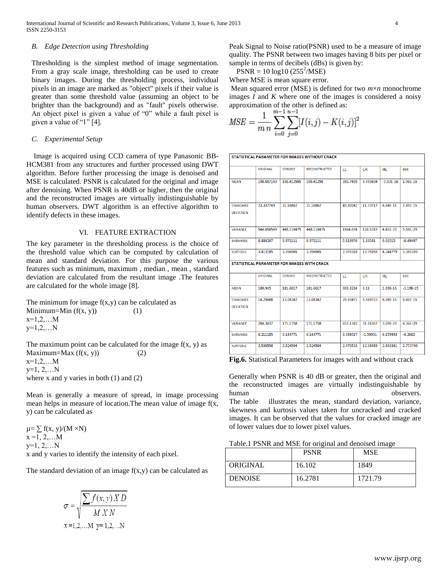#### *B. Edge Detection using Thresholding*

Thresholding is the simplest method of image segmentation. From a gray scale image, thresholding can be used to create binary images. During the thresholding process, individual pixels in an image are marked as "object" pixels if their value is greater than some threshold value (assuming an object to be brighter than the background) and as "fault" pixels otherwise. An object pixel is given a value of "0" while a fault pixel is given a value of "1" [4].

#### *C. Experimental Setup*

 Image is acquired using CCD camera of type Panasonic BB-HCM381 from any structures and further processed using DWT algorithm. Before further processing the image is denoised and MSE is calculated. PSNR is calculated for the original and image after denoising. When PSNR is 40dB or higher, then the original and the reconstructed images are virtually indistinguishable by human observers. DWT algorithm is an effective algorithm to identify defects in these images.

#### VI. FEATURE EXTRACTION

The key parameter in the thresholding process is the choice of the threshold value which can be computed by calculation of mean and standard deviation. For this purpose the various features such as minimum, maximum , median , mean , standard deviation are calculated from the resultant image .The features are calculated for the whole image [8].

The minimum for image  $f(x,y)$  can be calculated as Minimum=Min  $(f(x, y))$  (1)  $x=1,2,...M$  $y=1,2,...N$ The maximum point can be calculated for the image  $f(x, y)$  as Maximum=Max  $(f(x, y))$  (2)

 $x=1,2,...M$ y=1, 2,…N where x and y varies in both (1) and (2)

Mean is generally a measure of spread, in image processing mean helps in measure of location.The mean value of image f(x, y) can be calculated as

 $\mu = \sum f(x, y)/(M \times N)$  $x = 1, 2, ...M$  $y=1, 2,...N$ x and y varies to identify the intensity of each pixel.

The standard deviation of an image  $f(x,y)$  can be calculated as

$$
\sigma = \sqrt{\frac{\sum f(x, y) \, X \, D}{M \, X \, N}}
$$
\n
$$
x = 1, 2, \dots M \, y = 1, 2, \dots N}
$$

Peak Signal to Noise ratio(PSNR) used to be a measure of image quality. The PSNR between two images having 8 bits per pixel or sample in terms of decibels (dBs) is given by:

 $PSNR = 10 \log 10 (255^2/\text{MSE})$ 

Where MSE is mean square error.

Mean squared error (MSE) is defined for two *m*×*n* monochrome images *I* and *K* where one of the images is considered a noisy approximation of the other is defined as:<br> $m-1$   $n-1$ 

$$
MSE = \frac{1}{m n} \sum_{i=0}^{m} \sum_{j=0}^{n} [I(i,j) - K(i,j)]^{2}
$$

STATISTICAL PARAMETER FOR IMAGES WITHOUT CRACK

|                                     | ORIGINAL   | <b>DENOISE</b> | <b>RECONSTRUCTED</b>                        | ш        | LH.        | HL.           | <b>HH</b>   |
|-------------------------------------|------------|----------------|---------------------------------------------|----------|------------|---------------|-------------|
| <b>MEAN</b>                         | 190.657143 | 190.412905     | 190.41290                                   | 380.7409 | 0.090434   | $-7.53E - 16$ | 1.96E-16    |
| <b>STANDARD</b><br><b>DEVIATION</b> | 23.337749  | 21.16862       | 21.16862                                    | 40.80042 | 11.33717   | 6.64E-15      | 7.45E-15    |
| <b>VARIANCE</b>                     | 544.650549 | 448.110475     | 448.110475                                  | 1664.674 | 128.5315   | 4.41E-29      | 5.56E-29    |
| <b>SKEWNESS</b>                     | 0.884207   | 0.972111       | 0.972111                                    | 0.819976 | 1.83541    | 0.01515       | $-0.49497$  |
| <b>KURTOSIS</b>                     | 3.413185   | 3.396065       | 3.396065                                    | 2.970318 | 13.76858   | 4.244779      | 3.360389    |
|                                     |            |                | STATISTICAL PARAMETER FOR IMAGES WITH CRACK |          |            |               |             |
|                                     | ORIGINAL   | <b>DENOISE</b> | <b>RECONSTRUCTED</b>                        | ш        | LH.        | <b>HL</b>     | <b>HH</b>   |
| <b>MEAN</b>                         | 180.945    | 181.6617       | 181.6617                                    | 363.3234 | 0.11       | 1.69F-16      | $-1.19F-15$ |
| <b>STANDARD</b><br><b>DEVIATION</b> | 14.29488   | 13.08342       | 13.08342                                    | 25.63471 | 5.568723   | 6.08E-15      | 6.60E-15    |
| <b>VARIANCE</b>                     | 204.3437   | 171.1758       | 171.1758                                    | 657.1382 | 31.01067   | 3.69E-29      | 4.36E-29    |
| <b>SKEWNESS</b>                     | 0.211185   | 0.143771       | 0.143771                                    | 0.088617 | $-1.59051$ | 0.159933      | $-0.2662$   |
| <b>KURTOSIS</b>                     | 2.530556   | 2.524504       | 2.524504                                    | 2.470523 | 12.38489   | 2.933341      | 2.773746    |

**Fig.6.** Statistical Parameters for images with and without crack

Generally when PSNR is 40 dB or greater, then the original and the reconstructed images are virtually indistinguishable by human observers. The table illustrates the mean, standard deviation, variance, skewness and kurtosis values taken for uncracked and cracked images. It can be observed that the values for cracked image are of lower values due to lower pixel values.

|                | <b>PSNR</b> | <b>MSE</b> |
|----------------|-------------|------------|
| ORIGINAL       | 16.102      | 1849       |
| <b>DENOISE</b> | 16.2781     | 1721.79    |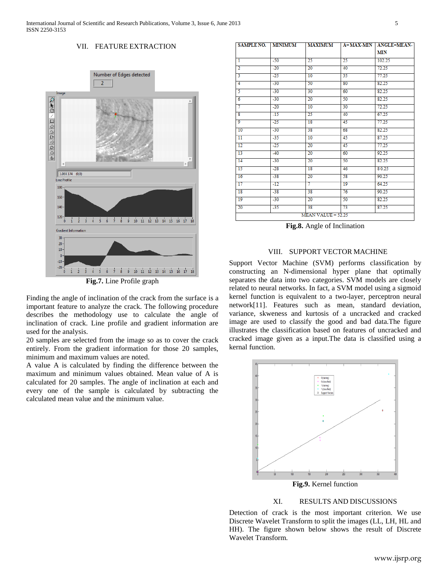## VII. FEATURE EXTRACTION



Finding the angle of inclination of the crack from the surface is a important feature to analyze the crack. The following procedure describes the methodology use to calculate the angle of inclination of crack. Line profile and gradient information are used for the analysis.

20 samples are selected from the image so as to cover the crack entirely. From the gradient information for those 20 samples, minimum and maximum values are noted.

A value A is calculated by finding the difference between the maximum and minimum values obtained. Mean value of A is calculated for 20 samples. The angle of inclination at each and every one of the sample is calculated by subtracting the calculated mean value and the minimum value.

|                         |       |                 |    | <b>MIN</b> |
|-------------------------|-------|-----------------|----|------------|
| ī                       | $-50$ | 25              | 25 | 102.25     |
| 2                       | $-20$ | $\overline{20}$ | 40 | 72.25      |
| 3                       | $-25$ | 10              | 35 | 77.25      |
| 4                       | $-30$ | 50              | 80 | 82.25      |
| 5                       | $-30$ | 30              | 60 | 82.25      |
| $\overline{6}$          | $-30$ | $\overline{20}$ | 50 | 82.25      |
| 7                       | $-20$ | 10              | 30 | 72.25      |
| $\overline{\mathbf{8}}$ | $-15$ | 25              | 40 | 67.25      |
| 9                       | $-25$ | 18              | 45 | 77.25      |
| 10                      | $-30$ | 38              | 68 | 82.25      |
| 11                      | $-35$ | 10              | 45 | 87.25      |
| 12                      | $-25$ | 20              | 45 | 77.25      |
| 13                      | $-40$ | 20              | 60 | 92.25      |
| 14                      | $-30$ | 20              | 50 | 82.25      |
| 15                      | $-28$ | 18              | 46 | 80.25      |
| 16                      | $-38$ | 20              | 58 | 90.25      |
| 17                      | $-12$ | 7               | 19 | 64.25      |
| 18                      | $-38$ | 38              | 76 | 90.25      |
| 19                      | $-30$ | 20              | 50 | 82.25      |
| $\overline{20}$         | $-35$ | 38              | 73 | 87.25      |

SAMPLE NO. | MINIMUM | MAXIMUM | A=MAX-MIN | ANGLE=MEAN-

**Fig.8.** Angle of Inclination

#### VIII. SUPPORT VECTOR MACHINE

Support Vector Machine (SVM) performs classification by constructing an N-dimensional hyper plane that optimally separates the data into two categories. SVM models are closely related to neural networks. In fact, a SVM model using a sigmoid kernel function is equivalent to a two-layer, perceptron neural network[11]. Features such as mean, standard deviation, variance, skweness and kurtosis of a uncracked and cracked image are used to classify the good and bad data.The figure illustrates the classification based on features of uncracked and cracked image given as a input.The data is classified using a kernal function.



#### XI. RESULTS AND DISCUSSIONS

Detection of crack is the most important criterion. We use Discrete Wavelet Transform to split the images (LL, LH, HL and HH). The figure shown below shows the result of Discrete Wavelet Transform.